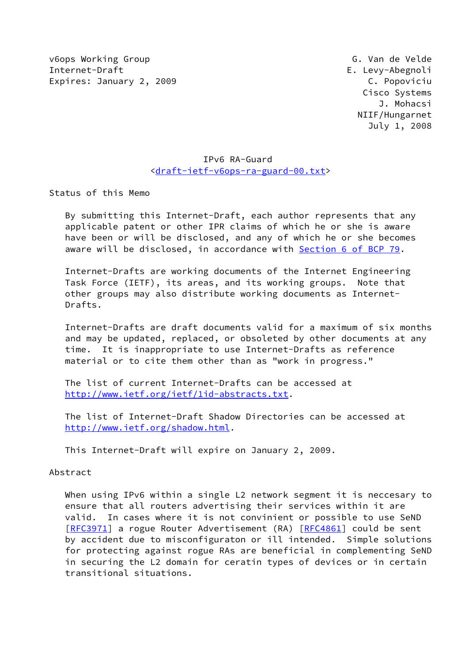v6ops Working Group G. Van de Velde Internet-Draft E. Levy-Abegnoli Expires: January 2, 2009 C. Popoviciu

 Cisco Systems J. Mohacsi NIIF/Hungarnet July 1, 2008

## IPv6 RA-Guard [<draft-ietf-v6ops-ra-guard-00.txt](https://datatracker.ietf.org/doc/pdf/draft-ietf-v6ops-ra-guard-00.txt)>

Status of this Memo

 By submitting this Internet-Draft, each author represents that any applicable patent or other IPR claims of which he or she is aware have been or will be disclosed, and any of which he or she becomes aware will be disclosed, in accordance with Section [6 of BCP 79.](https://datatracker.ietf.org/doc/pdf/bcp79#section-6)

 Internet-Drafts are working documents of the Internet Engineering Task Force (IETF), its areas, and its working groups. Note that other groups may also distribute working documents as Internet- Drafts.

 Internet-Drafts are draft documents valid for a maximum of six months and may be updated, replaced, or obsoleted by other documents at any time. It is inappropriate to use Internet-Drafts as reference material or to cite them other than as "work in progress."

 The list of current Internet-Drafts can be accessed at <http://www.ietf.org/ietf/1id-abstracts.txt>.

 The list of Internet-Draft Shadow Directories can be accessed at <http://www.ietf.org/shadow.html>.

This Internet-Draft will expire on January 2, 2009.

### Abstract

When using IPv6 within a single L2 network segment it is neccesary to ensure that all routers advertising their services within it are valid. In cases where it is not convinient or possible to use SeND [\[RFC3971](https://datatracker.ietf.org/doc/pdf/rfc3971)] a rogue Router Advertisement (RA) [\[RFC4861](https://datatracker.ietf.org/doc/pdf/rfc4861)] could be sent by accident due to misconfiguraton or ill intended. Simple solutions for protecting against rogue RAs are beneficial in complementing SeND in securing the L2 domain for ceratin types of devices or in certain transitional situations.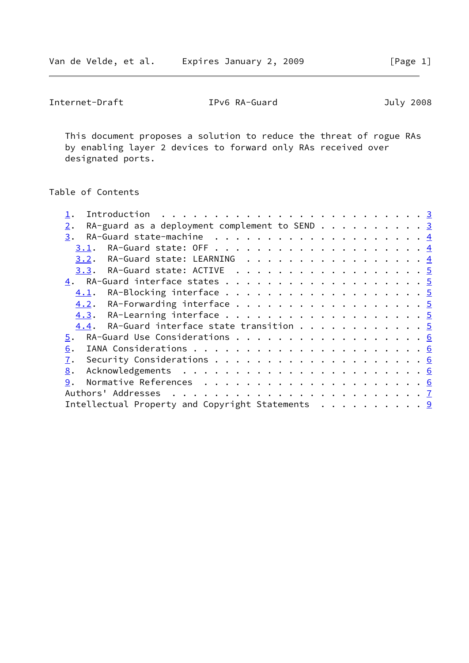Internet-Draft IPv6 RA-Guard July 2008

 This document proposes a solution to reduce the threat of rogue RAs by enabling layer 2 devices to forward only RAs received over designated ports.

# Table of Contents

| Introduction $\ldots \ldots \ldots \ldots \ldots \ldots \ldots \ldots \ldots \frac{3}{2}$ |  |
|-------------------------------------------------------------------------------------------|--|
| RA-guard as a deployment complement to SEND 3<br>2.                                       |  |
| 3.                                                                                        |  |
| 3.1.                                                                                      |  |
| RA-Guard state: LEARNING 4<br>3.2.                                                        |  |
| 3.3. RA-Guard state: ACTIVE 5                                                             |  |
|                                                                                           |  |
| 4.1.                                                                                      |  |
| 4.2. RA-Forwarding interface 5                                                            |  |
|                                                                                           |  |
| 4.4. RA-Guard interface state transition 5                                                |  |
| 5. RA-Guard Use Considerations 6                                                          |  |
| 6.                                                                                        |  |
| 7.                                                                                        |  |
| 8.                                                                                        |  |
| 9.                                                                                        |  |
|                                                                                           |  |
| Intellectual Property and Copyright Statements $\cdots$ 9                                 |  |
|                                                                                           |  |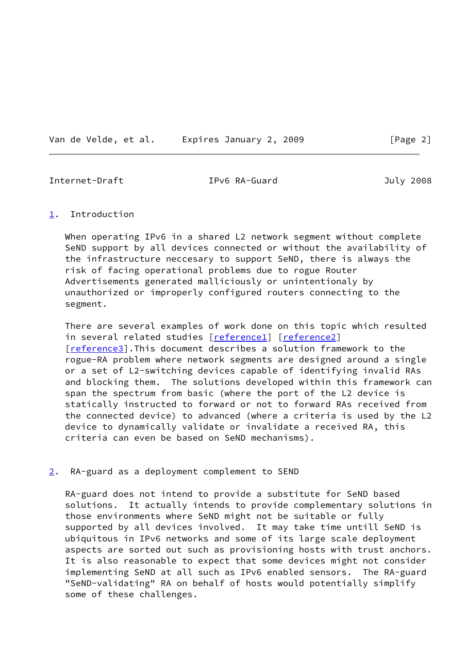Van de Velde, et al. Expires January 2, 2009 [Page 2]

<span id="page-2-1"></span>Internet-Draft IPv6 RA-Guard July 2008

### <span id="page-2-0"></span>[1](#page-2-0). Introduction

When operating IPv6 in a shared L2 network segment without complete SeND support by all devices connected or without the availability of the infrastructure neccesary to support SeND, there is always the risk of facing operational problems due to rogue Router Advertisements generated malliciously or unintentionaly by unauthorized or improperly configured routers connecting to the segment.

 There are several examples of work done on this topic which resulted in several related studies [[reference1\]](#page-6-5) [\[reference2\]](#page-6-6) [\[reference3\]](#page-6-7).This document describes a solution framework to the rogue-RA problem where network segments are designed around a single or a set of L2-switching devices capable of identifying invalid RAs and blocking them. The solutions developed within this framework can span the spectrum from basic (where the port of the L2 device is statically instructed to forward or not to forward RAs received from the connected device) to advanced (where a criteria is used by the L2 device to dynamically validate or invalidate a received RA, this criteria can even be based on SeND mechanisms).

<span id="page-2-2"></span>[2](#page-2-2). RA-guard as a deployment complement to SEND

 RA-guard does not intend to provide a substitute for SeND based solutions. It actually intends to provide complementary solutions in those environments where SeND might not be suitable or fully supported by all devices involved. It may take time untill SeND is ubiquitous in IPv6 networks and some of its large scale deployment aspects are sorted out such as provisioning hosts with trust anchors. It is also reasonable to expect that some devices might not consider implementing SeND at all such as IPv6 enabled sensors. The RA-guard "SeND-validating" RA on behalf of hosts would potentially simplify some of these challenges.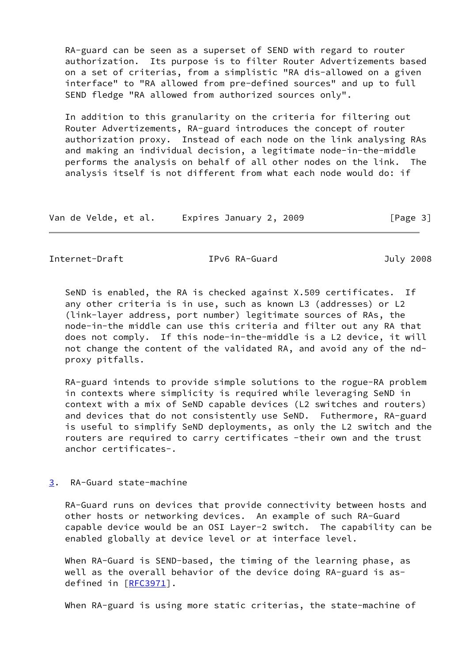RA-guard can be seen as a superset of SEND with regard to router authorization. Its purpose is to filter Router Advertizements based on a set of criterias, from a simplistic "RA dis-allowed on a given interface" to "RA allowed from pre-defined sources" and up to full SEND fledge "RA allowed from authorized sources only".

 In addition to this granularity on the criteria for filtering out Router Advertizements, RA-guard introduces the concept of router authorization proxy. Instead of each node on the link analysing RAs and making an individual decision, a legitimate node-in-the-middle performs the analysis on behalf of all other nodes on the link. The analysis itself is not different from what each node would do: if

| Van de Velde, et al. | Expires January 2, 2009 | [Page 3] |
|----------------------|-------------------------|----------|
|----------------------|-------------------------|----------|

<span id="page-3-1"></span>Internet-Draft TPv6 RA-Guard July 2008

 SeND is enabled, the RA is checked against X.509 certificates. If any other criteria is in use, such as known L3 (addresses) or L2 (link-layer address, port number) legitimate sources of RAs, the node-in-the middle can use this criteria and filter out any RA that does not comply. If this node-in-the-middle is a L2 device, it will not change the content of the validated RA, and avoid any of the nd proxy pitfalls.

 RA-guard intends to provide simple solutions to the rogue-RA problem in contexts where simplicity is required while leveraging SeND in context with a mix of SeND capable devices (L2 switches and routers) and devices that do not consistently use SeND. Futhermore, RA-guard is useful to simplify SeND deployments, as only the L2 switch and the routers are required to carry certificates -their own and the trust anchor certificates-.

# <span id="page-3-0"></span>[3](#page-3-0). RA-Guard state-machine

 RA-Guard runs on devices that provide connectivity between hosts and other hosts or networking devices. An example of such RA-Guard capable device would be an OSI Layer-2 switch. The capability can be enabled globally at device level or at interface level.

 When RA-Guard is SEND-based, the timing of the learning phase, as well as the overall behavior of the device doing RA-guard is as- defined in [[RFC3971\]](https://datatracker.ietf.org/doc/pdf/rfc3971).

When RA-guard is using more static criterias, the state-machine of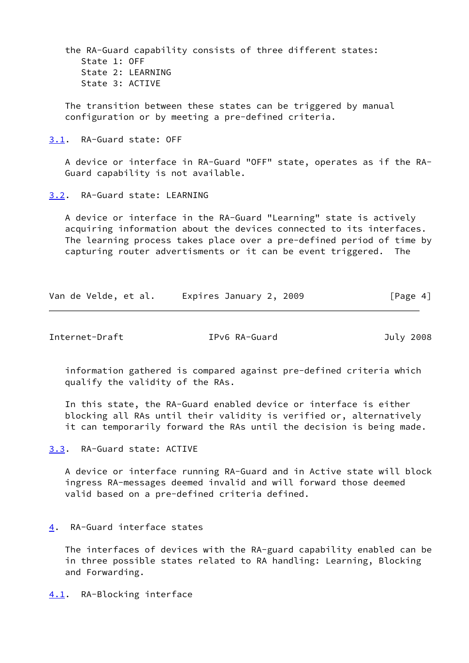the RA-Guard capability consists of three different states: State 1: OFF State 2: LEARNING State 3: ACTIVE

 The transition between these states can be triggered by manual configuration or by meeting a pre-defined criteria.

<span id="page-4-0"></span>[3.1](#page-4-0). RA-Guard state: OFF

 A device or interface in RA-Guard "OFF" state, operates as if the RA- Guard capability is not available.

<span id="page-4-1"></span>[3.2](#page-4-1). RA-Guard state: LEARNING

 A device or interface in the RA-Guard "Learning" state is actively acquiring information about the devices connected to its interfaces. The learning process takes place over a pre-defined period of time by capturing router advertisments or it can be event triggered. The

| Van de Velde, et al. | Expires January 2, 2009 | [Page 4] |
|----------------------|-------------------------|----------|
|----------------------|-------------------------|----------|

<span id="page-4-3"></span>Internet-Draft IPv6 RA-Guard July 2008

 information gathered is compared against pre-defined criteria which qualify the validity of the RAs.

 In this state, the RA-Guard enabled device or interface is either blocking all RAs until their validity is verified or, alternatively it can temporarily forward the RAs until the decision is being made.

<span id="page-4-2"></span>[3.3](#page-4-2). RA-Guard state: ACTIVE

 A device or interface running RA-Guard and in Active state will block ingress RA-messages deemed invalid and will forward those deemed valid based on a pre-defined criteria defined.

<span id="page-4-4"></span>[4](#page-4-4). RA-Guard interface states

 The interfaces of devices with the RA-guard capability enabled can be in three possible states related to RA handling: Learning, Blocking and Forwarding.

<span id="page-4-5"></span>[4.1](#page-4-5). RA-Blocking interface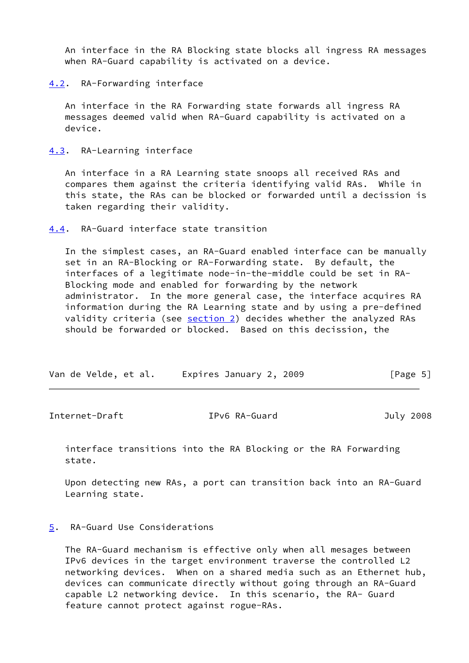An interface in the RA Blocking state blocks all ingress RA messages when RA-Guard capability is activated on a device.

### <span id="page-5-0"></span>[4.2](#page-5-0). RA-Forwarding interface

 An interface in the RA Forwarding state forwards all ingress RA messages deemed valid when RA-Guard capability is activated on a device.

<span id="page-5-1"></span>[4.3](#page-5-1). RA-Learning interface

 An interface in a RA Learning state snoops all received RAs and compares them against the criteria identifying valid RAs. While in this state, the RAs can be blocked or forwarded until a decission is taken regarding their validity.

<span id="page-5-2"></span>[4.4](#page-5-2). RA-Guard interface state transition

 In the simplest cases, an RA-Guard enabled interface can be manually set in an RA-Blocking or RA-Forwarding state. By default, the interfaces of a legitimate node-in-the-middle could be set in RA- Blocking mode and enabled for forwarding by the network administrator. In the more general case, the interface acquires RA information during the RA Learning state and by using a pre-defined validity criteria (see [section 2\)](#page-2-2) decides whether the analyzed RAs should be forwarded or blocked. Based on this decission, the

|  | Van de Velde, et al. | Expires January 2, 2009 | [Page 5] |
|--|----------------------|-------------------------|----------|
|--|----------------------|-------------------------|----------|

<span id="page-5-4"></span>

| Internet-Draft | IPv6 RA-Guard | July 2008 |
|----------------|---------------|-----------|
|----------------|---------------|-----------|

 interface transitions into the RA Blocking or the RA Forwarding state.

 Upon detecting new RAs, a port can transition back into an RA-Guard Learning state.

<span id="page-5-3"></span>[5](#page-5-3). RA-Guard Use Considerations

 The RA-Guard mechanism is effective only when all mesages between IPv6 devices in the target environment traverse the controlled L2 networking devices. When on a shared media such as an Ethernet hub, devices can communicate directly without going through an RA-Guard capable L2 networking device. In this scenario, the RA- Guard feature cannot protect against rogue-RAs.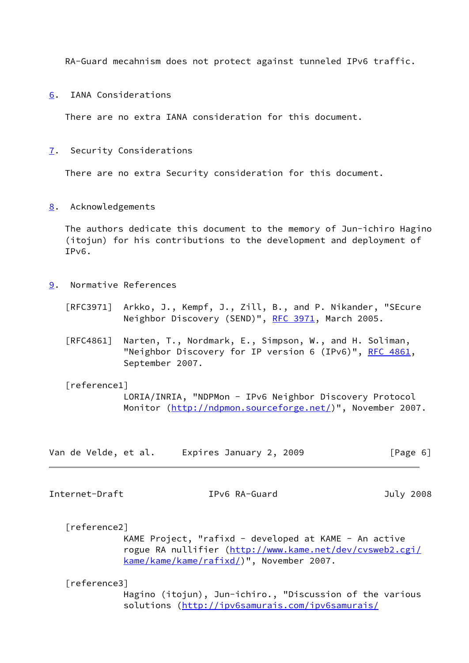RA-Guard mecahnism does not protect against tunneled IPv6 traffic.

<span id="page-6-0"></span>[6](#page-6-0). IANA Considerations

There are no extra IANA consideration for this document.

<span id="page-6-1"></span>[7](#page-6-1). Security Considerations

There are no extra Security consideration for this document.

<span id="page-6-2"></span>[8](#page-6-2). Acknowledgements

 The authors dedicate this document to the memory of Jun-ichiro Hagino (itojun) for his contributions to the development and deployment of IPv6.

- <span id="page-6-3"></span>[9](#page-6-3). Normative References
	- [RFC3971] Arkko, J., Kempf, J., Zill, B., and P. Nikander, "SEcure Neighbor Discovery (SEND)", [RFC 3971,](https://datatracker.ietf.org/doc/pdf/rfc3971) March 2005.
	- [RFC4861] Narten, T., Nordmark, E., Simpson, W., and H. Soliman, "Neighbor Discovery for IP version 6 (IPv6)", [RFC 4861](https://datatracker.ietf.org/doc/pdf/rfc4861), September 2007.

<span id="page-6-5"></span>[reference1]

 LORIA/INRIA, "NDPMon - IPv6 Neighbor Discovery Protocol Monitor (<http://ndpmon.sourceforge.net/>)", November 2007.

| Van de Velde, et al. | Expires January 2, 2009 | [Page 6] |
|----------------------|-------------------------|----------|
|----------------------|-------------------------|----------|

<span id="page-6-4"></span>Internet-Draft IPv6 RA-Guard July 2008

<span id="page-6-6"></span>[reference2]

 KAME Project, "rafixd - developed at KAME - An active rogue RA nullifier ([http://www.kame.net/dev/cvsweb2.cgi/](http://www.kame.net/dev/cvsweb2.cgi/kame/kame/kame/rafixd/) [kame/kame/kame/rafixd/](http://www.kame.net/dev/cvsweb2.cgi/kame/kame/kame/rafixd/))", November 2007.

<span id="page-6-7"></span>[reference3]

 Hagino (itojun), Jun-ichiro., "Discussion of the various solutions [\(http://ipv6samurais.com/ipv6samurais/](http://ipv6samurais.com/ipv6samurais/demystified/rogue-RA.html)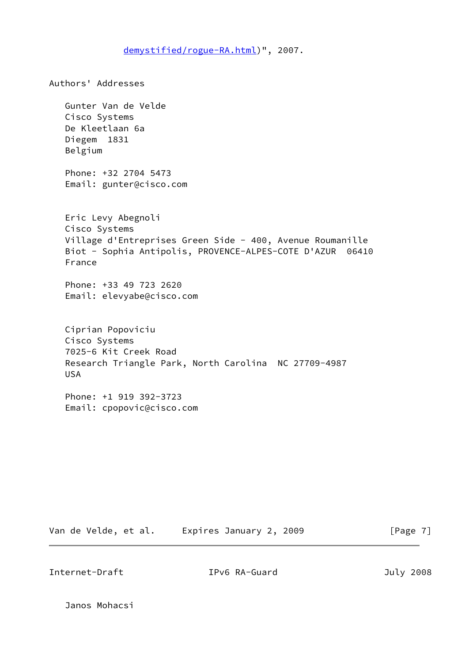[demystified/rogue-RA.html\)](http://ipv6samurais.com/ipv6samurais/demystified/rogue-RA.html)", 2007.

Authors' Addresses Gunter Van de Velde Cisco Systems De Kleetlaan 6a Diegem 1831 Belgium Phone: +32 2704 5473 Email: gunter@cisco.com Eric Levy Abegnoli Cisco Systems Village d'Entreprises Green Side - 400, Avenue Roumanille Biot - Sophia Antipolis, PROVENCE-ALPES-COTE D'AZUR 06410 France Phone: +33 49 723 2620 Email: elevyabe@cisco.com Ciprian Popoviciu Cisco Systems 7025-6 Kit Creek Road Research Triangle Park, North Carolina NC 27709-4987 USA Phone: +1 919 392-3723 Email: cpopovic@cisco.com

Van de Velde, et al. Expires January 2, 2009 [Page 7]

Internet-Draft IPv6 RA-Guard July 2008

Janos Mohacsi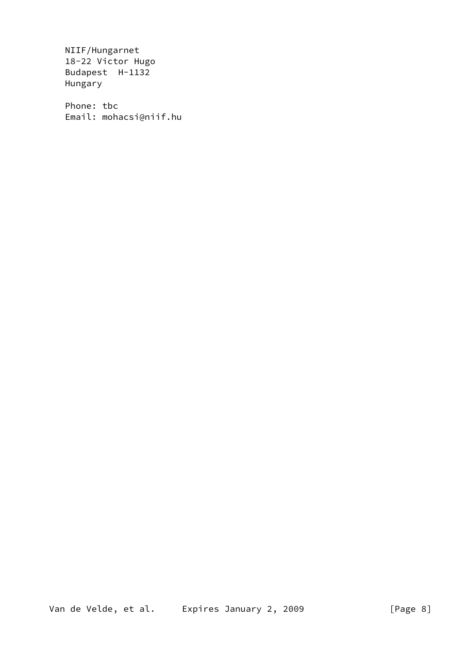NIIF/Hungarnet 18-22 Victor Hugo Budapest H-1132 Hungary

 Phone: tbc Email: mohacsi@niif.hu

Van de Velde, et al. Expires January 2, 2009 [Page 8]